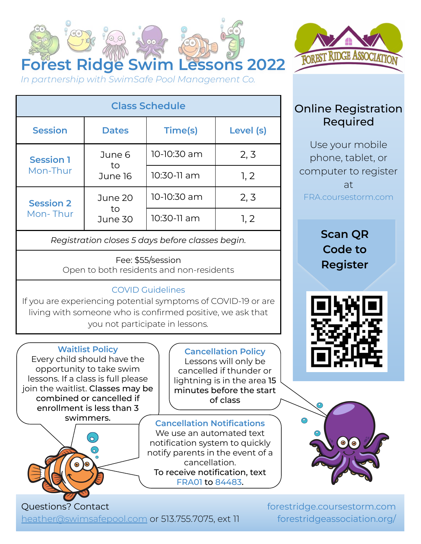



**Class Schedule Session Dates Time(s) Level (s) Session 1** Mon-Thur June 6 to June 16 10-10:30 am | 2, 3  $10:30-11$  am  $1, 2$ **Session 2** Mon- Thur June 20 to June 30 10-10:30 am | 2, 3 10:30-11 am 1, 2

*Registration closes 5 days before classes begin.*

Fee: \$55/session Open to both residents and non-residents

## COVID Guidelines

If you are experiencing potential symptoms of COVID-19 or are living with someone who is confirmed positive, we ask that you not participate in lessons*.*

**Waitlist Policy** Every child should have the opportunity to take swim lessons. If a class is full please join the waitlist. Classes may be combined or cancelled if enrollment is less than 3



**Cancellation Policy** Lessons will only be cancelled if thunder or lightning is in the area 15 minutes before the start of class

swimmers. **Cancellation Notifications** We use an automated text notification system to quickly notify parents in the event of a cancellation. To receive notification, text FRA01 to 84483.



phone, tablet, or computer to register at FRA.coursestorm.com

> **Scan QR Code to Register**





[heather@swimsafepool.com](mailto:heather@swimsafepool.com) or 513.755.7075, ext 11

forestridge.coursestorm.com forestridgeassociation.org/